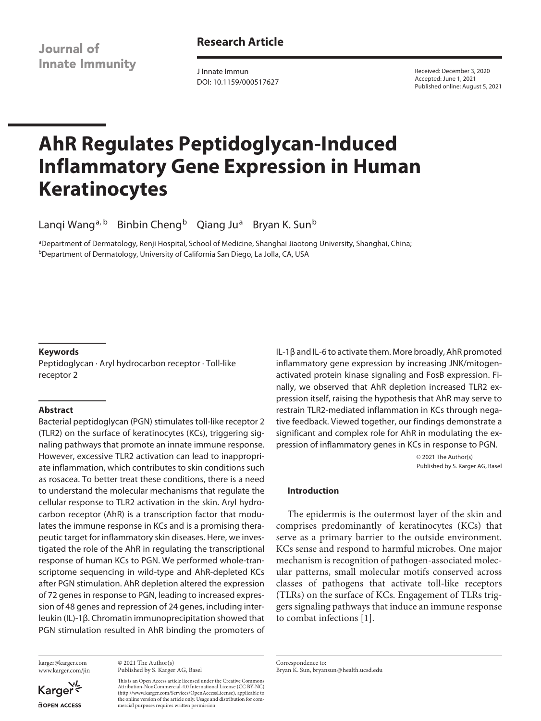Journal of **Innate Immunity**  **Research Article**

J Innate Immun DOI: 10.1159/000517627 Received: December 3, 2020 Accepted: June 1, 2021 Published online: August 5, 2021

# **AhR Regulates Peptidoglycan-Induced Inflammatory Gene Expression in Human Keratinocytes**

Lanqi Wang<sup>a, b</sup> Binbin Cheng<sup>b</sup> Qiang Ju<sup>a</sup> Bryan K. Sun<sup>b</sup>

aDepartment of Dermatology, Renji Hospital, School of Medicine, Shanghai Jiaotong University, Shanghai, China; bDepartment of Dermatology, University of California San Diego, La Jolla, CA, USA

#### **Keywords**

Peptidoglycan · Aryl hydrocarbon receptor · Toll-like receptor 2

## **Abstract**

Bacterial peptidoglycan (PGN) stimulates toll-like receptor 2 (TLR2) on the surface of keratinocytes (KCs), triggering signaling pathways that promote an innate immune response. However, excessive TLR2 activation can lead to inappropriate inflammation, which contributes to skin conditions such as rosacea. To better treat these conditions, there is a need to understand the molecular mechanisms that regulate the cellular response to TLR2 activation in the skin. Aryl hydrocarbon receptor (AhR) is a transcription factor that modulates the immune response in KCs and is a promising therapeutic target for inflammatory skin diseases. Here, we investigated the role of the AhR in regulating the transcriptional response of human KCs to PGN. We performed whole-transcriptome sequencing in wild-type and AhR-depleted KCs after PGN stimulation. AhR depletion altered the expression of 72 genes in response to PGN, leading to increased expression of 48 genes and repression of 24 genes, including interleukin (IL)-1β. Chromatin immunoprecipitation showed that PGN stimulation resulted in AhR binding the promoters of

karger@karger.com www.karger.com/jin

Karger **ROPEN ACCESS** 

© 2021 The Author(s) Published by S. Karger AG, Basel

This is an Open Access article licensed under the Creative Commons Attribution-NonCommercial-4.0 International License (CC BY-NC) (http://www.karger.com/Services/OpenAccessLicense), applicable to the online version of the article only. Usage and distribution for commercial purposes requires written permission.

IL-1β and IL-6 to activate them. More broadly, AhR promoted inflammatory gene expression by increasing JNK/mitogenactivated protein kinase signaling and FosB expression. Finally, we observed that AhR depletion increased TLR2 expression itself, raising the hypothesis that AhR may serve to restrain TLR2-mediated inflammation in KCs through negative feedback. Viewed together, our findings demonstrate a significant and complex role for AhR in modulating the expression of inflammatory genes in KCs in response to PGN.

> © 2021 The Author(s) Published by S. Karger AG, Basel

## **Introduction**

The epidermis is the outermost layer of the skin and comprises predominantly of keratinocytes (KCs) that serve as a primary barrier to the outside environment. KCs sense and respond to harmful microbes. One major mechanism is recognition of pathogen-associated molecular patterns, small molecular motifs conserved across classes of pathogens that activate toll-like receptors (TLRs) on the surface of KCs. Engagement of TLRs triggers signaling pathways that induce an immune response to combat infections [[1](#page-10-0)].

<span id="page-0-0"></span>Correspondence to: Bryan K. Sun, bryansun@health.ucsd.edu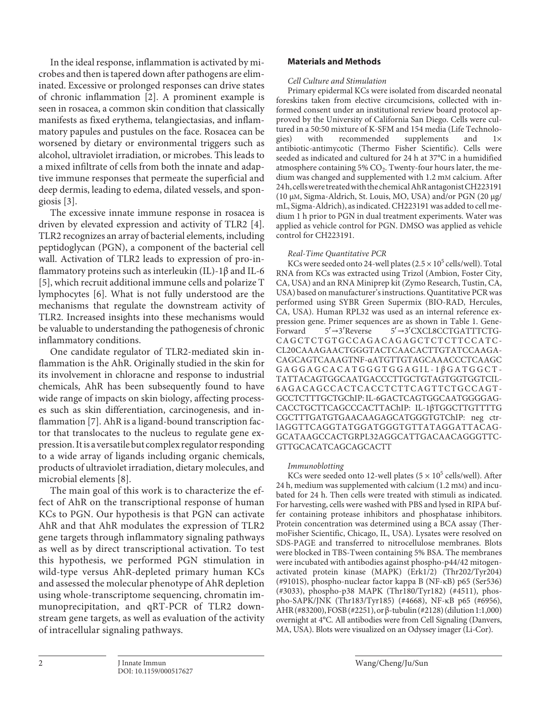<span id="page-1-0"></span>In the ideal response, inflammation is activated by microbes and then is tapered down after pathogens are eliminated. Excessive or prolonged responses can drive states of chronic inflammation [[2](#page-10-1)]. A prominent example is seen in rosacea, a common skin condition that classically manifests as fixed erythema, telangiectasias, and inflammatory papules and pustules on the face. Rosacea can be worsened by dietary or environmental triggers such as alcohol, ultraviolet irradiation, or microbes. This leads to a mixed infiltrate of cells from both the innate and adaptive immune responses that permeate the superficial and deep dermis, leading to edema, dilated vessels, and spongiosis [[3\]](#page-10-2).

<span id="page-1-3"></span><span id="page-1-2"></span><span id="page-1-1"></span>The excessive innate immune response in rosacea is driven by elevated expression and activity of TLR2 [[4\]](#page-10-3). TLR2 recognizes an array of bacterial elements, including peptidoglycan (PGN), a component of the bacterial cell wall. Activation of TLR2 leads to expression of pro-inflammatory proteins such as interleukin (IL)-1β and IL-6 [\[5\]](#page-10-4), which recruit additional immune cells and polarize T lymphocytes [\[6\]](#page-10-5). What is not fully understood are the mechanisms that regulate the downstream activity of TLR2. Increased insights into these mechanisms would be valuable to understanding the pathogenesis of chronic inflammatory conditions.

<span id="page-1-5"></span><span id="page-1-4"></span>One candidate regulator of TLR2-mediated skin inflammation is the AhR. Originally studied in the skin for its involvement in chloracne and response to industrial chemicals, AhR has been subsequently found to have wide range of impacts on skin biology, affecting processes such as skin differentiation, carcinogenesis, and inflammation [\[7](#page-10-6)]. AhR is a ligand-bound transcription factor that translocates to the nucleus to regulate gene expression. It is a versatile but complex regulator responding to a wide array of ligands including organic chemicals, products of ultraviolet irradiation, dietary molecules, and microbial elements [[8](#page-10-7)].

<span id="page-1-6"></span>The main goal of this work is to characterize the effect of AhR on the transcriptional response of human KCs to PGN. Our hypothesis is that PGN can activate AhR and that AhR modulates the expression of TLR2 gene targets through inflammatory signaling pathways as well as by direct transcriptional activation. To test this hypothesis, we performed PGN stimulation in wild-type versus AhR-depleted primary human KCs and assessed the molecular phenotype of AhR depletion using whole-transcriptome sequencing, chromatin immunoprecipitation, and qRT-PCR of TLR2 downstream gene targets, as well as evaluation of the activity of intracellular signaling pathways.

# **Materials and Methods**

## *Cell Culture and Stimulation*

Primary epidermal KCs were isolated from discarded neonatal foreskins taken from elective circumcisions, collected with informed consent under an institutional review board protocol approved by the University of California San Diego. Cells were cultured in a 50:50 mixture of K-SFM and 154 media (Life Technologies) with recommended supplements and 1× antibiotic-antimycotic (Thermo Fisher Scientific). Cells were seeded as indicated and cultured for 24 h at 37°C in a humidified atmosphere containing 5%  $CO<sub>2</sub>$ . Twenty-four hours later, the medium was changed and supplemented with 1.2 mM calcium. After 24 h, cells were treated with the chemical AhR antagonist CH223191 (10 μM, Sigma-Aldrich, St. Louis, MO, USA) and/or PGN (20 μg/ mL, Sigma-Aldrich), as indicated. CH223191 was added to cell medium 1 h prior to PGN in dual treatment experiments. Water was applied as vehicle control for PGN. DMSO was applied as vehicle control for CH223191.

## *Real-Time Quantitative PCR*

KCs were seeded onto 24-well plates  $(2.5 \times 10^5 \text{ cells/well})$ . Total RNA from KCs was extracted using Trizol (Ambion, Foster City, CA, USA) and an RNA Miniprep kit (Zymo Research, Tustin, CA, USA) based on manufacturer's instructions. Quantitative PCR was performed using SYBR Green Supermix (BIO-RAD, Hercules, CA, USA). Human RPL32 was used as an internal reference expression gene. Primer sequences are as shown in Table 1. Gene-<br>Forward 5'→3'Reverse 5'→3'CXCL8CCTGATTTCTG-Forward 5′→3′Reverse 5′→3′CXCL8CCTGATTTCTG-CAGCTCTGTGCCAGACAGAGCTCTCTTCCATC-CL20CAAAGAACTGGGTACTCAACACTTGTATCCAAGA-CAGCAGTCAAAGTNF-αATGTTGTAGCAAACCCTCAAGC GAGGAGCACATGGGTGGAGIL-1βGATGGCT - TATTACAGTGGCAATGACCCTTGCTGTAGTGGTGGTCIL-6AGACAGCCACTCACCTCTTCAGTTCTGCCAGT-GCCTCTTTGCTGChIP: IL-6GACTCAGTGGCAATGGGGAG-CACCTGCTTCAGCCCACTTAChIP: IL-1βTGGCTTGTTTTG CGCTTTGATGTGAACAAGAGCATGGGTGTChIP: neg ctrlAGGTTCAGGTATGGATGGGTGTTATAGGATTACAG-GCATAAGCCACTGRPL32AGGCATTGACAACAGGGTTC-GTTGCACATCAGCAGCACTT

## *Immunoblotting*

KCs were seeded onto 12-well plates ( $5 \times 10^5$  cells/well). After 24 h, medium was supplemented with calcium (1.2 mM) and incubated for 24 h. Then cells were treated with stimuli as indicated. For harvesting, cells were washed with PBS and lysed in RIPA buffer containing protease inhibitors and phosphatase inhibitors. Protein concentration was determined using a BCA assay (ThermoFisher Scientific, Chicago, IL, USA). Lysates were resolved on SDS-PAGE and transferred to nitrocellulose membranes. Blots were blocked in TBS-Tween containing 5% BSA. The membranes were incubated with antibodies against phospho-p44/42 mitogenactivated protein kinase (MAPK) (Erk1/2) (Thr202/Tyr204) (#9101S), phospho-nuclear factor kappa B (NF-κB) p65 (Ser536) (#3033), phospho-p38 MAPK (Thr180/Tyr182) (#4511), phospho-SAPK/JNK (Thr183/Tyr185) (#4668), NF-κB p65 (#6956), AHR (#83200), FOSB (#2251), or β-tubulin (#2128) (dilution 1:1,000) overnight at 4°C. All antibodies were from Cell Signaling (Danvers, MA, USA). Blots were visualized on an Odyssey imager (Li-Cor).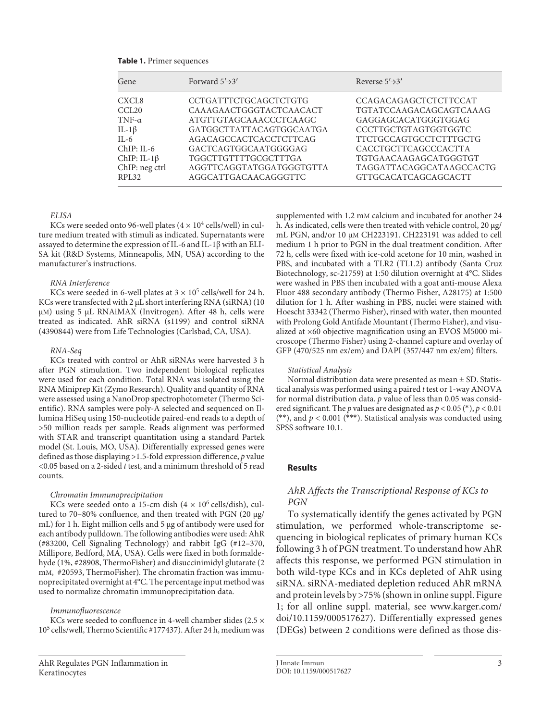|  |  |  |  | <b>Table 1.</b> Primer sequences |
|--|--|--|--|----------------------------------|
|--|--|--|--|----------------------------------|

| Gene                                                                                                                                      | Forward $5' \rightarrow 3'$                                                                                                                                                                                                | Reverse $5' \rightarrow 3'$                                                                                                                                                                                                 |
|-------------------------------------------------------------------------------------------------------------------------------------------|----------------------------------------------------------------------------------------------------------------------------------------------------------------------------------------------------------------------------|-----------------------------------------------------------------------------------------------------------------------------------------------------------------------------------------------------------------------------|
| CXCL <sub>8</sub><br>CCL <sub>20</sub><br>TNF- $\alpha$<br>IL-1 $\beta$<br>$IL-6$<br>$ChIP: IL-6$<br>ChIP: IL-1 $\beta$<br>ChIP: neg ctrl | <b>CCTGATTTCTGCAGCTCTGTG</b><br>CAAAGAACTGGGTACTCAACACT<br>ATGTTGTAGCAAACCCTCAAGC<br>GATGGCTTATTACAGTGGCAATGA<br>AGACAGCCACTCACCTCTTCAG<br>GACTCAGTGGCAATGGGGAG<br><b>TGGCTTGTTTTGCGCTTTGA</b><br>AGGTTCAGGTATGGATGGGTGTTA | CCAGACAGAGCTCTCTTCCAT<br><b>TGTATCCAAGACAGCAGTCAAAG</b><br>GAGGAGCACATGGGTGGAG<br><b>CCCTTGCTGTAGTGGTGGTC</b><br>TTCTGCCAGTGCCTCTTTGCTG<br><b>CACCTGCTTCAGCCCACTTA</b><br>TGTGAACAAGAGCATGGGTGT<br>TAGGATTACAGGCATAAGCCACTG |
| RPL32                                                                                                                                     | AGGCATTGACAACAGGGTTC                                                                                                                                                                                                       | <b>GTTGCACATCAGCAGCACTT</b>                                                                                                                                                                                                 |

#### *ELISA*

KCs were seeded onto 96-well plates  $(4 \times 10^4$  cells/well) in culture medium treated with stimuli as indicated. Supernatants were assayed to determine the expression of IL-6 and IL-1β with an ELI-SA kit (R&D Systems, Minneapolis, MN, USA) according to the manufacturer's instructions.

#### *RNA Interference*

KCs were seeded in 6-well plates at  $3 \times 10^5$  cells/well for 24 h. KCs were transfected with 2 μL short interfering RNA (siRNA) (10 μM) using 5 μL RNAiMAX (Invitrogen). After 48 h, cells were treated as indicated. AhR siRNA (s1199) and control siRNA (4390844) were from Life Technologies (Carlsbad, CA, USA).

#### *RNA-Seq*

KCs treated with control or AhR siRNAs were harvested 3 h after PGN stimulation. Two independent biological replicates were used for each condition. Total RNA was isolated using the RNA Miniprep Kit (Zymo Research). Quality and quantity of RNA were assessed using a NanoDrop spectrophotometer (Thermo Scientific). RNA samples were poly-A selected and sequenced on Illumina HiSeq using 150-nucleotide paired-end reads to a depth of >50 million reads per sample. Reads alignment was performed with STAR and transcript quantitation using a standard Partek model (St. Louis, MO, USA). Differentially expressed genes were defined as those displaying >1.5-fold expression difference, *p* value <0.05 based on a 2-sided *t* test, and a minimum threshold of 5 read counts.

#### *Chromatin Immunoprecipitation*

KCs were seeded onto a 15-cm dish  $(4 \times 10^6 \text{ cells/dish})$ , cultured to 70–80% confluence, and then treated with PGN (20 μg/ mL) for 1 h. Eight million cells and 5 μg of antibody were used for each antibody pulldown. The following antibodies were used: AhR (#83200, Cell Signaling Technology) and rabbit IgG (#12–370, Millipore, Bedford, MA, USA). Cells were fixed in both formaldehyde (1%, #28908, ThermoFisher) and disuccinimidyl glutarate (2 mM, #20593, ThermoFisher). The chromatin fraction was immunoprecipitated overnight at 4°C. The percentage input method was used to normalize chromatin immunoprecipitation data.

#### *Immunofluorescence*

KCs were seeded to confluence in 4-well chamber slides (2.5  $\times$ 10<sup>5</sup> cells/well, Thermo Scientific #177437). After 24 h, medium was supplemented with 1.2 mM calcium and incubated for another 24 h. As indicated, cells were then treated with vehicle control, 20 μg/ mL PGN, and/or 10 μM CH223191. CH223191 was added to cell medium 1 h prior to PGN in the dual treatment condition. After 72 h, cells were fixed with ice-cold acetone for 10 min, washed in PBS, and incubated with a TLR2 (TL1.2) antibody (Santa Cruz Biotechnology, sc-21759) at 1:50 dilution overnight at 4°C. Slides were washed in PBS then incubated with a goat anti-mouse Alexa Fluor 488 secondary antibody (Thermo Fisher, A28175) at 1:500 dilution for 1 h. After washing in PBS, nuclei were stained with Hoescht 33342 (Thermo Fisher), rinsed with water, then mounted with Prolong Gold Antifade Mountant (Thermo Fisher), and visualized at ×60 objective magnification using an EVOS M5000 microscope (Thermo Fisher) using 2-channel capture and overlay of GFP (470/525 nm ex/em) and DAPI (357/447 nm ex/em) filters.

#### *Statistical Analysis*

Normal distribution data were presented as mean ± SD. Statistical analysis was performed using a paired *t* test or 1-way ANOVA for normal distribution data. *p* value of less than 0.05 was considered significant. The *p* values are designated as *p* < 0.05 (\*), *p* < 0.01 (\*\*), and  $p < 0.001$  (\*\*\*). Statistical analysis was conducted using SPSS software 10.1.

#### **Results**

# *AhR Affects the Transcriptional Response of KCs to PGN*

To systematically identify the genes activated by PGN stimulation, we performed whole-transcriptome sequencing in biological replicates of primary human KCs following 3 h of PGN treatment. To understand how AhR affects this response, we performed PGN stimulation in both wild-type KCs and in KCs depleted of AhR using siRNA. siRNA-mediated depletion reduced AhR mRNA and protein levels by >75% (shown in online suppl. Figure 1; for all online suppl. material, see www.karger.com/ doi/10.1159/000517627). Differentially expressed genes (DEGs) between 2 conditions were defined as those dis-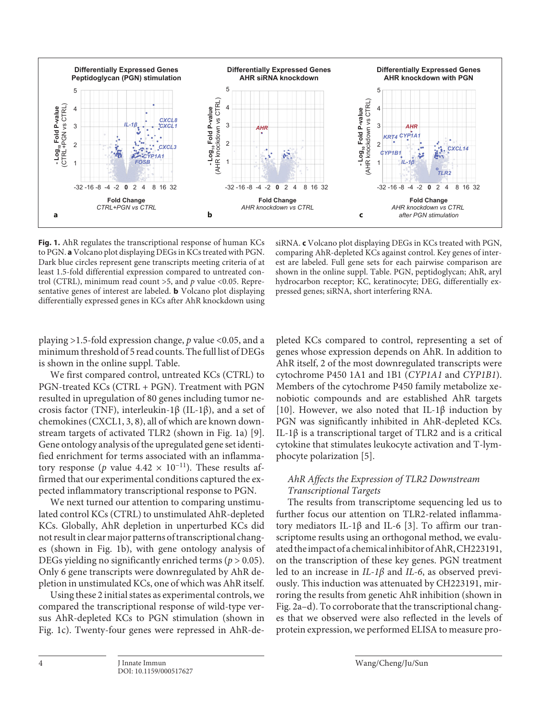

**Fig. 1.** AhR regulates the transcriptional response of human KCs to PGN. **a** Volcano plot displaying DEGs in KCs treated with PGN. Dark blue circles represent gene transcripts meeting criteria of at least 1.5-fold differential expression compared to untreated control (CTRL), minimum read count >5, and *p* value <0.05. Representative genes of interest are labeled. **b** Volcano plot displaying differentially expressed genes in KCs after AhR knockdown using

siRNA. **c** Volcano plot displaying DEGs in KCs treated with PGN, comparing AhR-depleted KCs against control. Key genes of interest are labeled. Full gene sets for each pairwise comparison are shown in the online suppl. Table. PGN, peptidoglycan; AhR, aryl hydrocarbon receptor; KC, keratinocyte; DEG, differentially expressed genes; siRNA, short interfering RNA.

playing >1.5-fold expression change, *p* value <0.05, and a minimum threshold of 5 read counts. The full list of DEGs is shown in the online suppl. Table.

<span id="page-3-0"></span>We first compared control, untreated KCs (CTRL) to PGN-treated KCs (CTRL + PGN). Treatment with PGN resulted in upregulation of 80 genes including tumor necrosis factor (TNF), interleukin-1β (IL-1β), and a set of chemokines (CXCL1, 3, 8), all of which are known downstream targets of activated TLR2 (shown in Fig. 1a) [[9\]](#page-10-8). Gene ontology analysis of the upregulated gene set identified enrichment for terms associated with an inflammatory response (*p* value  $4.42 \times 10^{-11}$ ). These results affirmed that our experimental conditions captured the expected inflammatory transcriptional response to PGN.

We next turned our attention to comparing unstimulated control KCs (CTRL) to unstimulated AhR-depleted KCs. Globally, AhR depletion in unperturbed KCs did not result in clear major patterns of transcriptional changes (shown in Fig. 1b), with gene ontology analysis of DEGs yielding no significantly enriched terms (*p* > 0.05). Only 6 gene transcripts were downregulated by AhR depletion in unstimulated KCs, one of which was AhR itself.

Using these 2 initial states as experimental controls, we compared the transcriptional response of wild-type versus AhR-depleted KCs to PGN stimulation (shown in Fig. 1c). Twenty-four genes were repressed in AhR-de<span id="page-3-1"></span>pleted KCs compared to control, representing a set of genes whose expression depends on AhR. In addition to AhR itself, 2 of the most downregulated transcripts were cytochrome P450 1A1 and 1B1 (*CYP1A1* and *CYP1B1*). Members of the cytochrome P450 family metabolize xenobiotic compounds and are established AhR targets [[1](#page-10-0)0]. However, we also noted that IL-1β induction by PGN was significantly inhibited in AhR-depleted KCs. IL-1β is a transcriptional target of TLR2 and is a critical cytokine that stimulates leukocyte activation and T-lymphocyte polarization [\[5](#page-10-4)].

# *AhR Affects the Expression of TLR2 Downstream Transcriptional Targets*

The results from transcriptome sequencing led us to further focus our attention on TLR2-related inflammatory mediators IL-1β and IL-6 [[3](#page-10-2)]. To affirm our transcriptome results using an orthogonal method, we evaluated the impact of a chemical inhibitor of AhR, CH223191, on the transcription of these key genes. PGN treatment led to an increase in *IL-1β* and *IL-6*, as observed previously. This induction was attenuated by CH223191, mirroring the results from genetic AhR inhibition (shown in Fig. 2a–d). To corroborate that the transcriptional changes that we observed were also reflected in the levels of protein expression, we performed ELISA to measure pro-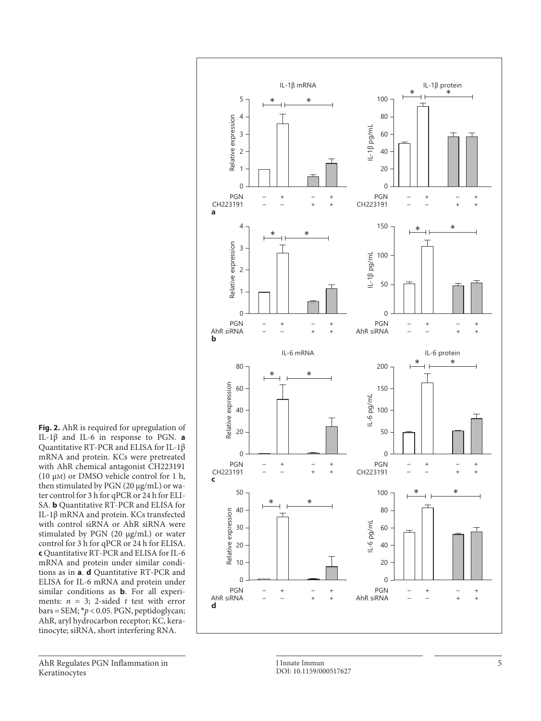

AhR Regulates PGN Inflammation in Keratinocytes



J Innate Immun DOI: 10.1159/000517627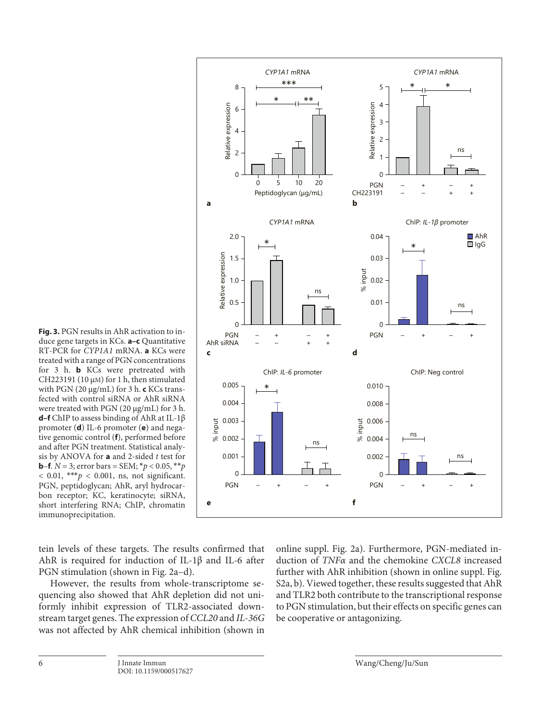

**Fig. 3.** PGN results in AhR activation to induce gene targets in KCs. **a–c** Quantitative RT-PCR for *CYP1A1* mRNA. **a** KCs were treated with a range of PGN concentrations for 3 h. **b** KCs were pretreated with CH223191 (10 μM) for 1 h, then stimulated with PGN (20 μg/mL) for 3 h. **c** KCs transfected with control siRNA or AhR siRNA were treated with PGN (20 μg/mL) for 3 h. **d–f** ChIP to assess binding of AhR at IL-1β promoter (**d**) IL-6 promoter (**e**) and negative genomic control (**f**), performed before and after PGN treatment. Statistical analysis by ANOVA for **a** and 2-sided *t* test for **b**–f.  $N = 3$ ; error bars = SEM; \* $p < 0.05$ , \*\* $p$  $< 0.01, **p < 0.001$ , ns, not significant. PGN, peptidoglycan; AhR, aryl hydrocarbon receptor; KC, keratinocyte; siRNA, short interfering RNA; ChIP, chromatin immunoprecipitation.

tein levels of these targets. The results confirmed that AhR is required for induction of IL-1β and IL-6 after PGN stimulation (shown in Fig. 2a–d).

However, the results from whole-transcriptome sequencing also showed that AhR depletion did not uniformly inhibit expression of TLR2-associated downstream target genes. The expression of *CCL20* and *IL-36G* was not affected by AhR chemical inhibition (shown in

online suppl. Fig. 2a). Furthermore, PGN-mediated induction of *TNFα* and the chemokine *CXCL8* increased further with AhR inhibition (shown in online suppl. Fig. S2a, b). Viewed together, these results suggested that AhR and TLR2 both contribute to the transcriptional response to PGN stimulation, but their effects on specific genes can be cooperative or antagonizing.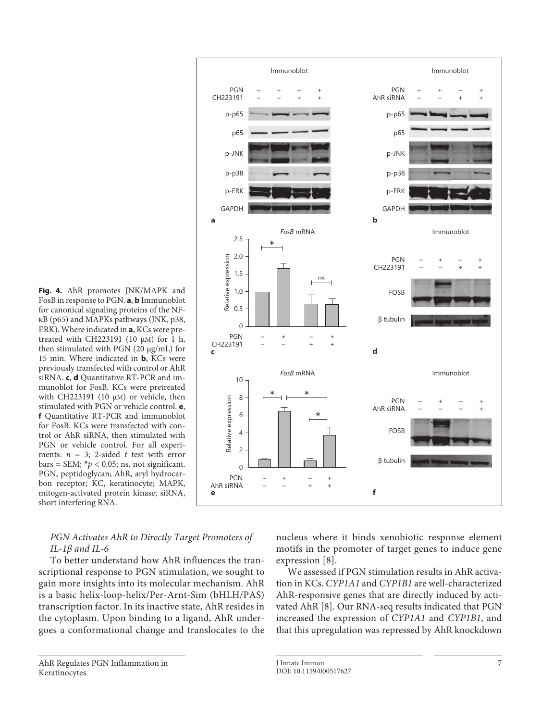

**Fig. 4.** AhR promotes JNK/MAPK and FosB in response to PGN. **a**, **b** Immunoblot for canonical signaling proteins of the NFκB (p65) and MAPKs pathways (JNK, p38, ERK). Where indicated in **a**, KCs were pretreated with CH223191 (10 μM) for 1 h, then stimulated with PGN ( $20 \mu g/mL$ ) for 15 min. Where indicated in **b**, KCs were previously transfected with control or AhR siRNA. **c**, **d** Quantitative RT-PCR and immunoblot for FosB. KCs were pretreated with CH223191 (10 μM) or vehicle, then stimulated with PGN or vehicle control. **e**, **f** Quantitative RT-PCR and immunoblot for FosB. KCs were transfected with control or AhR siRNA, then stimulated with PGN or vehicle control. For all experiments: *n* = 3; 2-sided *t* test with error  $bars = SEM; *p < 0.05;$  ns, not significant. PGN, peptidoglycan; AhR, aryl hydrocarbon receptor; KC, keratinocyte; MAPK, mitogen-activated protein kinase; siRNA, short interfering RNA.

# *PGN Activates AhR to Directly Target Promoters of IL-1β and IL-6*

To better understand how AhR influences the transcriptional response to PGN stimulation, we sought to gain more insights into its molecular mechanism. AhR is a basic helix-loop-helix/Per-Arnt-Sim (bHLH/PAS) transcription factor. In its inactive state, AhR resides in the cytoplasm. Upon binding to a ligand, AhR undergoes a conformational change and translocates to the

nucleus where it binds xenobiotic response element motifs in the promoter of target genes to induce gene expression [\[8\]](#page-10-7).

We assessed if PGN stimulation results in AhR activation in KCs. *CYP1A1* and *CYP1B1* are well-characterized AhR-responsive genes that are directly induced by activated AhR [\[8](#page-10-7)]. Our RNA-seq results indicated that PGN increased the expression of *CYP1A1* and *CYP1B1*, and that this upregulation was repressed by AhR knockdown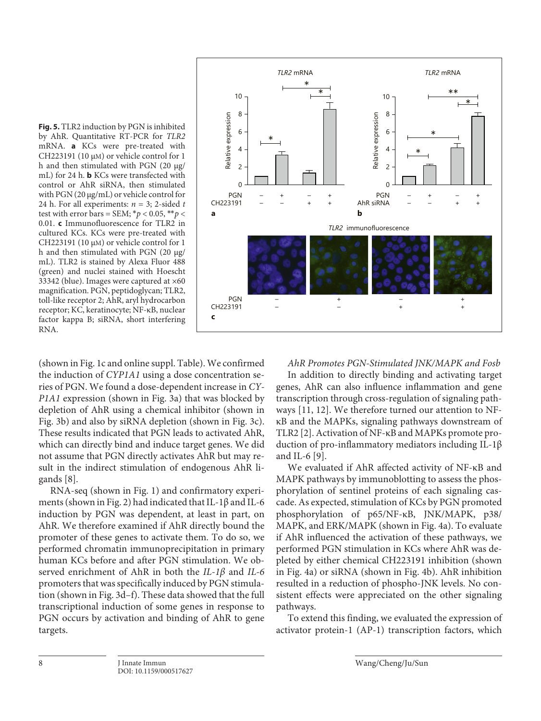**Fig. 5.** TLR2 induction by PGN is inhibited by AhR. Quantitative RT-PCR for *TLR2* mRNA. **a** KCs were pre-treated with CH223191 (10 μM) or vehicle control for 1 h and then stimulated with PGN (20 μg/ mL) for 24 h. **b** KCs were transfected with control or AhR siRNA, then stimulated with PGN (20 μg/mL) or vehicle control for 24 h. For all experiments:  $n = 3$ ; 2-sided *t* test with error bars = SEM;  $^*p$  < 0.05,  $^{**}p$  < 0.01. **c** Immunofluorescence for TLR2 in cultured KCs. KCs were pre-treated with CH223191 (10 μM) or vehicle control for 1 h and then stimulated with PGN (20 μg/ mL). TLR2 is stained by Alexa Fluor 488 (green) and nuclei stained with Hoescht 33342 (blue). Images were captured at ×60 magnification. PGN, peptidoglycan; TLR2, toll-like receptor 2; AhR, aryl hydrocarbon receptor; KC, keratinocyte; NF-κB, nuclear factor kappa B; siRNA, short interfering RNA.

(shown in Fig. 1c and online suppl. Table). We confirmed the induction of *CYP1A1* using a dose concentration series of PGN. We found a dose-dependent increase in *CY-P1A1* expression (shown in Fig. 3a) that was blocked by depletion of AhR using a chemical inhibitor (shown in Fig. 3b) and also by siRNA depletion (shown in Fig. 3c). These results indicated that PGN leads to activated AhR, which can directly bind and induce target genes. We did not assume that PGN directly activates AhR but may result in the indirect stimulation of endogenous AhR ligands [[8\]](#page-10-7).

RNA-seq (shown in Fig. 1) and confirmatory experiments (shown in Fig. 2) had indicated that IL-1β and IL-6 induction by PGN was dependent, at least in part, on AhR. We therefore examined if AhR directly bound the promoter of these genes to activate them. To do so, we performed chromatin immunoprecipitation in primary human KCs before and after PGN stimulation. We observed enrichment of AhR in both the *IL-1β* and *IL-6* promoters that was specifically induced by PGN stimulation (shown in Fig. 3d–f). These data showed that the full transcriptional induction of some genes in response to PGN occurs by activation and binding of AhR to gene targets.



*AhR Promotes PGN-Stimulated JNK/MAPK and Fosb*

In addition to directly binding and activating target genes, AhR can also influence inflammation and gene transcription through cross-regulation of signaling pathways [\[11,](#page-10-0) [1](#page-10-0)[2\]](#page-10-1). We therefore turned our attention to NFκB and the MAPKs, signaling pathways downstream of TLR2 [\[2\]](#page-10-1). Activation of NF-κB and MAPKs promote production of pro-inflammatory mediators including IL-1β and IL-6 [\[9\]](#page-10-8).

We evaluated if AhR affected activity of NF-κB and MAPK pathways by immunoblotting to assess the phosphorylation of sentinel proteins of each signaling cascade. As expected, stimulation of KCs by PGN promoted phosphorylation of p65/NF-κB, JNK/MAPK, p38/ MAPK, and ERK/MAPK (shown in Fig. 4a). To evaluate if AhR influenced the activation of these pathways, we performed PGN stimulation in KCs where AhR was depleted by either chemical CH223191 inhibition (shown in Fig. 4a) or siRNA (shown in Fig. 4b). AhR inhibition resulted in a reduction of phospho-JNK levels. No consistent effects were appreciated on the other signaling pathways.

To extend this finding, we evaluated the expression of activator protein-1 (AP-1) transcription factors, which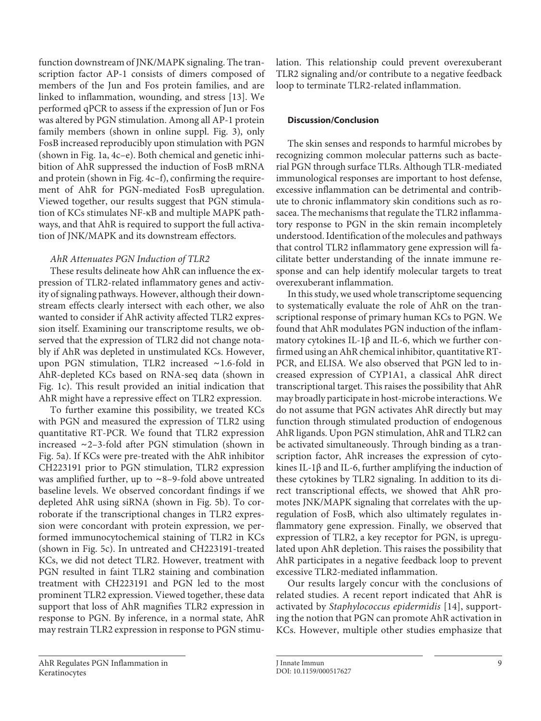function downstream of JNK/MAPK signaling. The transcription factor AP-1 consists of dimers composed of members of the Jun and Fos protein families, and are linked to inflammation, wounding, and stress [[1](#page-10-0)[3](#page-10-2)]. We performed qPCR to assess if the expression of Jun or Fos was altered by PGN stimulation. Among all AP-1 protein family members (shown in online suppl. Fig. 3), only FosB increased reproducibly upon stimulation with PGN (shown in Fig. 1a, 4c–e). Both chemical and genetic inhibition of AhR suppressed the induction of FosB mRNA and protein (shown in Fig. 4c–f), confirming the requirement of AhR for PGN-mediated FosB upregulation. Viewed together, our results suggest that PGN stimulation of KCs stimulates NF-κB and multiple MAPK pathways, and that AhR is required to support the full activation of JNK/MAPK and its downstream effectors.

# *AhR Attenuates PGN Induction of TLR2*

These results delineate how AhR can influence the expression of TLR2-related inflammatory genes and activity of signaling pathways. However, although their downstream effects clearly intersect with each other, we also wanted to consider if AhR activity affected TLR2 expression itself. Examining our transcriptome results, we observed that the expression of TLR2 did not change notably if AhR was depleted in unstimulated KCs. However, upon PGN stimulation, TLR2 increased ∼1.6-fold in AhR-depleted KCs based on RNA-seq data (shown in Fig. 1c). This result provided an initial indication that AhR might have a repressive effect on TLR2 expression.

To further examine this possibility, we treated KCs with PGN and measured the expression of TLR2 using quantitative RT-PCR. We found that TLR2 expression increased ∼2–3-fold after PGN stimulation (shown in Fig. 5a). If KCs were pre-treated with the AhR inhibitor CH223191 prior to PGN stimulation, TLR2 expression was amplified further, up to ∼8–9-fold above untreated baseline levels. We observed concordant findings if we depleted AhR using siRNA (shown in Fig. 5b). To corroborate if the transcriptional changes in TLR2 expression were concordant with protein expression, we performed immunocytochemical staining of TLR2 in KCs (shown in Fig. 5c). In untreated and CH223191-treated KCs, we did not detect TLR2. However, treatment with PGN resulted in faint TLR2 staining and combination treatment with CH223191 and PGN led to the most prominent TLR2 expression. Viewed together, these data support that loss of AhR magnifies TLR2 expression in response to PGN. By inference, in a normal state, AhR may restrain TLR2 expression in response to PGN stimulation. This relationship could prevent overexuberant TLR2 signaling and/or contribute to a negative feedback loop to terminate TLR2-related inflammation.

# **Discussion/Conclusion**

The skin senses and responds to harmful microbes by recognizing common molecular patterns such as bacterial PGN through surface TLRs. Although TLR-mediated immunological responses are important to host defense, excessive inflammation can be detrimental and contribute to chronic inflammatory skin conditions such as rosacea. The mechanisms that regulate the TLR2 inflammatory response to PGN in the skin remain incompletely understood. Identification of the molecules and pathways that control TLR2 inflammatory gene expression will facilitate better understanding of the innate immune response and can help identify molecular targets to treat overexuberant inflammation.

In this study, we used whole transcriptome sequencing to systematically evaluate the role of AhR on the transcriptional response of primary human KCs to PGN. We found that AhR modulates PGN induction of the inflammatory cytokines IL-1β and IL-6, which we further confirmed using an AhR chemical inhibitor, quantitative RT-PCR, and ELISA. We also observed that PGN led to increased expression of CYP1A1, a classical AhR direct transcriptional target. This raises the possibility that AhR may broadly participate in host-microbe interactions. We do not assume that PGN activates AhR directly but may function through stimulated production of endogenous AhR ligands. Upon PGN stimulation, AhR and TLR2 can be activated simultaneously. Through binding as a transcription factor, AhR increases the expression of cytokines IL-1 $\beta$  and IL-6, further amplifying the induction of these cytokines by TLR2 signaling. In addition to its direct transcriptional effects, we showed that AhR promotes JNK/MAPK signaling that correlates with the upregulation of FosB, which also ultimately regulates inflammatory gene expression. Finally, we observed that expression of TLR2, a key receptor for PGN, is upregulated upon AhR depletion. This raises the possibility that AhR participates in a negative feedback loop to prevent excessive TLR2-mediated inflammation.

Our results largely concur with the conclusions of related studies. A recent report indicated that AhR is activated by *Staphylococcus epidermidis* [[1](#page-10-0)[4](#page-10-3)], supporting the notion that PGN can promote AhR activation in KCs. However, multiple other studies emphasize that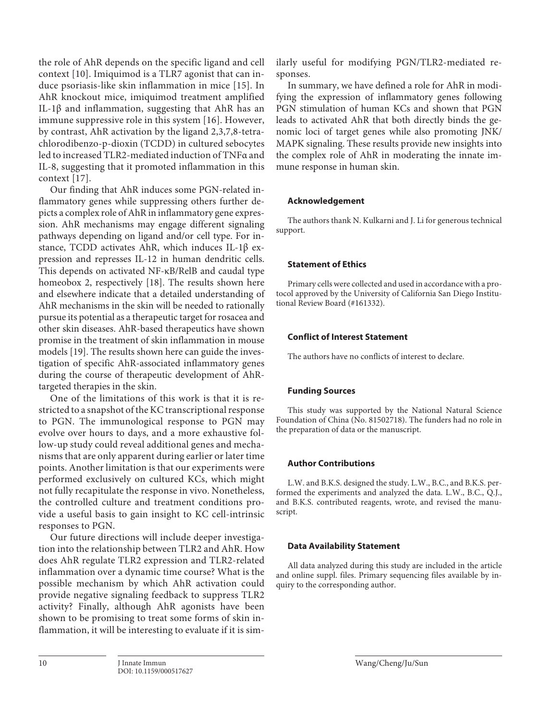the role of AhR depends on the specific ligand and cell context [[1](#page-10-0)0]. Imiquimod is a TLR7 agonist that can induce psoriasis-like skin inflammation in mice [[1](#page-10-0)[5](#page-10-4)]. In AhR knockout mice, imiquimod treatment amplified IL-1β and inflammation, suggesting that AhR has an immune suppressive role in this system [[1](#page-10-0)[6](#page-10-5)]. However, by contrast, AhR activation by the ligand 2,3,7,8-tetrachlorodibenzo-p-dioxin (TCDD) in cultured sebocytes led to increased TLR2-mediated induction of TNFα and IL-8, suggesting that it promoted inflammation in this context [[1](#page-10-0)[7\]](#page-10-6).

Our finding that AhR induces some PGN-related inflammatory genes while suppressing others further depicts a complex role of AhR in inflammatory gene expression. AhR mechanisms may engage different signaling pathways depending on ligand and/or cell type. For instance, TCDD activates AhR, which induces IL-1β expression and represses IL-12 in human dendritic cells. This depends on activated NF-κB/RelB and caudal type homeobox 2, respectively [[1](#page-10-0)[8](#page-10-7)]. The results shown here and elsewhere indicate that a detailed understanding of AhR mechanisms in the skin will be needed to rationally pursue its potential as a therapeutic target for rosacea and other skin diseases. AhR-based therapeutics have shown promise in the treatment of skin inflammation in mouse models [[1](#page-10-0)[9](#page-10-8)]. The results shown here can guide the investigation of specific AhR-associated inflammatory genes during the course of therapeutic development of AhRtargeted therapies in the skin.

One of the limitations of this work is that it is restricted to a snapshot of the KC transcriptional response to PGN. The immunological response to PGN may evolve over hours to days, and a more exhaustive follow-up study could reveal additional genes and mechanisms that are only apparent during earlier or later time points. Another limitation is that our experiments were performed exclusively on cultured KCs, which might not fully recapitulate the response in vivo. Nonetheless, the controlled culture and treatment conditions provide a useful basis to gain insight to KC cell-intrinsic responses to PGN.

Our future directions will include deeper investigation into the relationship between TLR2 and AhR. How does AhR regulate TLR2 expression and TLR2-related inflammation over a dynamic time course? What is the possible mechanism by which AhR activation could provide negative signaling feedback to suppress TLR2 activity? Finally, although AhR agonists have been shown to be promising to treat some forms of skin inflammation, it will be interesting to evaluate if it is similarly useful for modifying PGN/TLR2-mediated responses.

In summary, we have defined a role for AhR in modifying the expression of inflammatory genes following PGN stimulation of human KCs and shown that PGN leads to activated AhR that both directly binds the genomic loci of target genes while also promoting JNK/ MAPK signaling. These results provide new insights into the complex role of AhR in moderating the innate immune response in human skin.

# **Acknowledgement**

The authors thank N. Kulkarni and J. Li for generous technical support.

# **Statement of Ethics**

Primary cells were collected and used in accordance with a protocol approved by the University of California San Diego Institutional Review Board (#161332).

# **Conflict of Interest Statement**

The authors have no conflicts of interest to declare.

## **Funding Sources**

This study was supported by the National Natural Science Foundation of China (No. 81502718). The funders had no role in the preparation of data or the manuscript.

# **Author Contributions**

L.W. and B.K.S. designed the study. L.W., B.C., and B.K.S. performed the experiments and analyzed the data. L.W., B.C., Q.J., and B.K.S. contributed reagents, wrote, and revised the manuscript.

## **Data Availability Statement**

All data analyzed during this study are included in the article and online suppl. files. Primary sequencing files available by inquiry to the corresponding author.